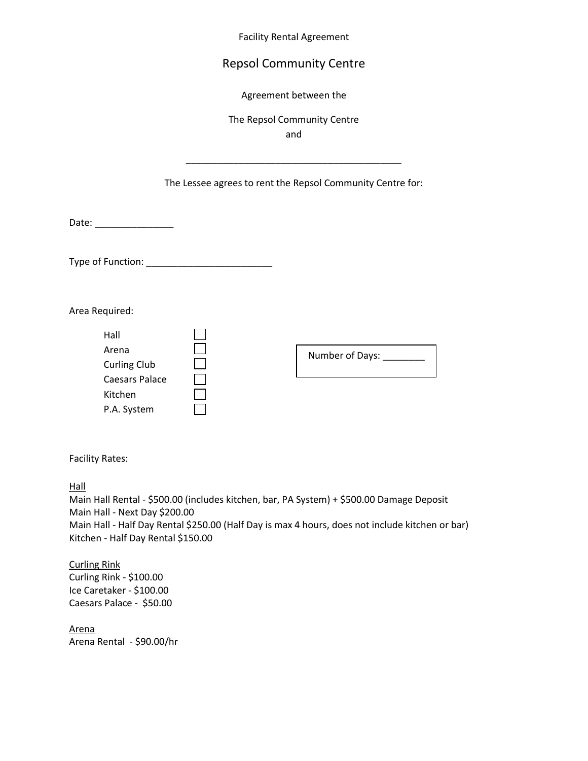Facility Rental Agreement

## Repsol Community Centre

Agreement between the

The Repsol Community Centre

and

\_\_\_\_\_\_\_\_\_\_\_\_\_\_\_\_\_\_\_\_\_\_\_\_\_\_\_\_\_\_\_\_\_\_\_\_\_\_\_\_\_

## The Lessee agrees to rent the Repsol Community Centre for:

Date:  $\Box$ 

Type of Function: \_\_\_\_\_\_\_\_\_\_\_\_\_\_\_\_\_\_\_\_\_\_\_\_

Area Required:

| Hall                  |  |                 |
|-----------------------|--|-----------------|
| Arena                 |  | Number of Days: |
| <b>Curling Club</b>   |  |                 |
| <b>Caesars Palace</b> |  |                 |
| Kitchen               |  |                 |
| P.A. System           |  |                 |

Facility Rates:

Hall

Main Hall Rental - \$500.00 (includes kitchen, bar, PA System) + \$500.00 Damage Deposit Main Hall - Next Day \$200.00 Main Hall - Half Day Rental \$250.00 (Half Day is max 4 hours, does not include kitchen or bar) Kitchen - Half Day Rental \$150.00

Curling Rink Curling Rink - \$100.00 Ice Caretaker - \$100.00 Caesars Palace - \$50.00

Arena Arena Rental - \$90.00/hr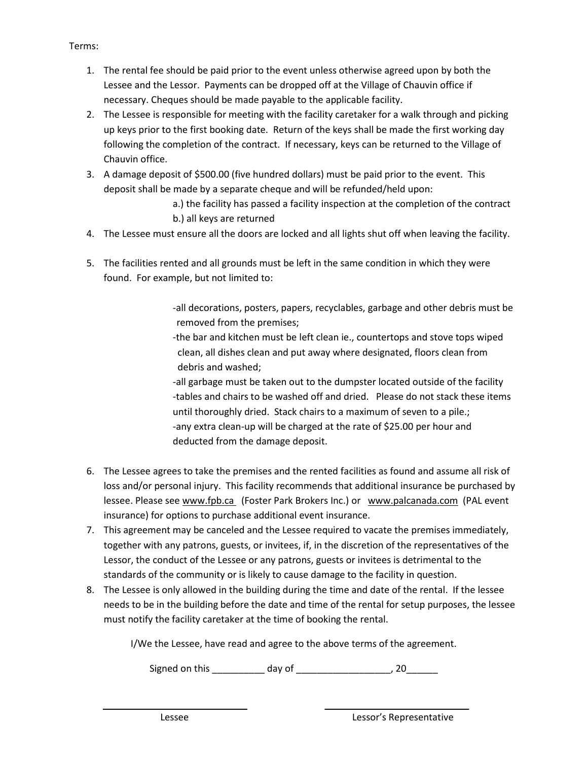## Terms:

- 1. The rental fee should be paid prior to the event unless otherwise agreed upon by both the Lessee and the Lessor. Payments can be dropped off at the Village of Chauvin office if necessary. Cheques should be made payable to the applicable facility.
- 2. The Lessee is responsible for meeting with the facility caretaker for a walk through and picking up keys prior to the first booking date. Return of the keys shall be made the first working day following the completion of the contract. If necessary, keys can be returned to the Village of Chauvin office.
- 3. A damage deposit of \$500.00 (five hundred dollars) must be paid prior to the event. This deposit shall be made by a separate cheque and will be refunded/held upon:
	- a.) the facility has passed a facility inspection at the completion of the contract b.) all keys are returned
- 4. The Lessee must ensure all the doors are locked and all lights shut off when leaving the facility.
- 5. The facilities rented and all grounds must be left in the same condition in which they were found. For example, but not limited to:

-all decorations, posters, papers, recyclables, garbage and other debris must be removed from the premises;

-the bar and kitchen must be left clean ie., countertops and stove tops wiped clean, all dishes clean and put away where designated, floors clean from debris and washed;

-all garbage must be taken out to the dumpster located outside of the facility -tables and chairs to be washed off and dried. Please do not stack these items until thoroughly dried. Stack chairs to a maximum of seven to a pile.; -any extra clean-up will be charged at the rate of \$25.00 per hour and deducted from the damage deposit.

- 6. The Lessee agrees to take the premises and the rented facilities as found and assume all risk of loss and/or personal injury. This facility recommends that additional insurance be purchased by lessee. Please see www.fpb.ca (Foster Park Brokers Inc.) or www.palcanada.com (PAL event insurance) for options to purchase additional event insurance.
- 7. This agreement may be canceled and the Lessee required to vacate the premises immediately, together with any patrons, guests, or invitees, if, in the discretion of the representatives of the Lessor, the conduct of the Lessee or any patrons, guests or invitees is detrimental to the standards of the community or is likely to cause damage to the facility in question.
- 8. The Lessee is only allowed in the building during the time and date of the rental. If the lessee needs to be in the building before the date and time of the rental for setup purposes, the lessee must notify the facility caretaker at the time of booking the rental.

I/We the Lessee, have read and agree to the above terms of the agreement.

Signed on this \_\_\_\_\_\_\_\_\_\_ day of \_\_\_\_\_\_\_\_\_\_\_\_\_\_\_\_\_\_, 20\_\_\_\_\_\_